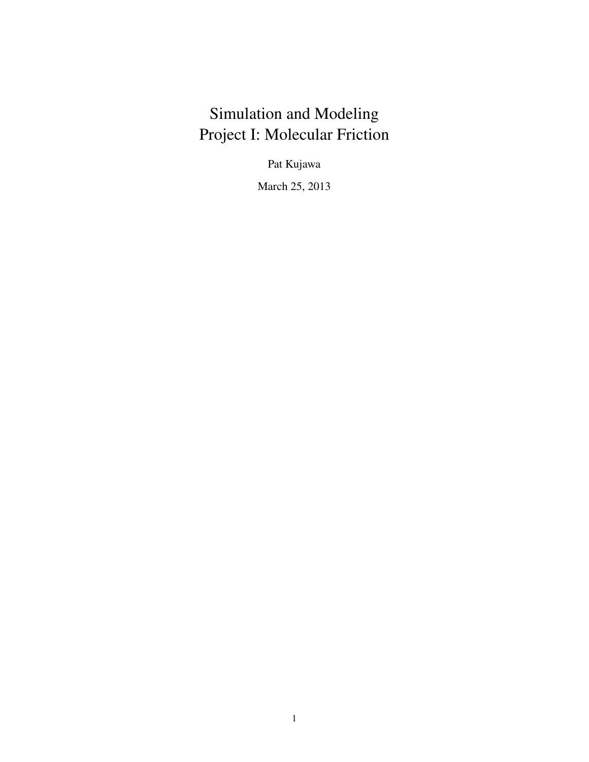# Simulation and Modeling Project I: Molecular Friction

Pat Kujawa

March 25, 2013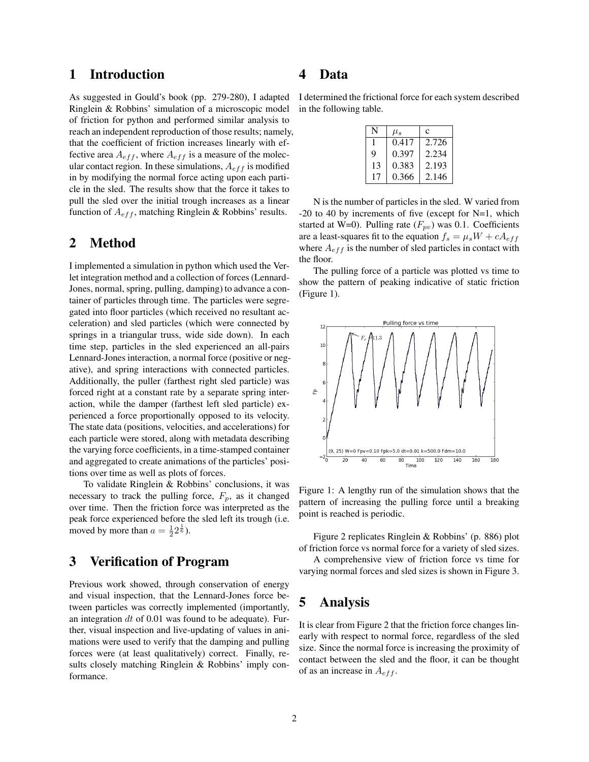#### 1 Introduction

As suggested in Gould's book (pp. 279-280), I adapted Ringlein & Robbins' simulation of a microscopic model of friction for python and performed similar analysis to reach an independent reproduction of those results; namely, that the coefficient of friction increases linearly with effective area  $A_{eff}$ , where  $A_{eff}$  is a measure of the molecular contact region. In these simulations,  $A_{eff}$  is modified in by modifying the normal force acting upon each particle in the sled. The results show that the force it takes to pull the sled over the initial trough increases as a linear function of  $A_{eff}$ , matching Ringlein & Robbins' results.

#### 2 Method

I implemented a simulation in python which used the Verlet integration method and a collection of forces (Lennard-Jones, normal, spring, pulling, damping) to advance a container of particles through time. The particles were segregated into floor particles (which received no resultant acceleration) and sled particles (which were connected by springs in a triangular truss, wide side down). In each time step, particles in the sled experienced an all-pairs Lennard-Jones interaction, a normal force (positive or negative), and spring interactions with connected particles. Additionally, the puller (farthest right sled particle) was forced right at a constant rate by a separate spring interaction, while the damper (farthest left sled particle) experienced a force proportionally opposed to its velocity. The state data (positions, velocities, and accelerations) for each particle were stored, along with metadata describing the varying force coefficients, in a time-stamped container and aggregated to create animations of the particles' positions over time as well as plots of forces.

To validate Ringlein & Robbins' conclusions, it was necessary to track the pulling force,  $F_p$ , as it changed over time. Then the friction force was interpreted as the peak force experienced before the sled left its trough (i.e. moved by more than  $a = \frac{1}{2} 2^{\frac{1}{6}}$ .

### 3 Verification of Program

Previous work showed, through conservation of energy and visual inspection, that the Lennard-Jones force between particles was correctly implemented (importantly, an integration  $dt$  of 0.01 was found to be adequate). Further, visual inspection and live-updating of values in animations were used to verify that the damping and pulling forces were (at least qualitatively) correct. Finally, results closely matching Ringlein & Robbins' imply conformance.

#### 4 Data

I determined the frictional force for each system described in the following table.

|    | $\mu_s$ | c     |
|----|---------|-------|
|    | 0.417   | 2.726 |
| 9  | 0.397   | 2.234 |
| 13 | 0.383   | 2.193 |
| 17 | 0.366   | 2.146 |

N is the number of particles in the sled. W varied from -20 to 40 by increments of five (except for N=1, which started at W=0). Pulling rate  $(F_{pv})$  was 0.1. Coefficients are a least-squares fit to the equation  $f_s = \mu_s W + cA_{eff}$ where  $A_{eff}$  is the number of sled particles in contact with the floor.

The pulling force of a particle was plotted vs time to show the pattern of peaking indicative of static friction (Figure 1).



Figure 1: A lengthy run of the simulation shows that the pattern of increasing the pulling force until a breaking point is reached is periodic.

Figure 2 replicates Ringlein & Robbins' (p. 886) plot of friction force vs normal force for a variety of sled sizes.

A comprehensive view of friction force vs time for varying normal forces and sled sizes is shown in Figure 3.

# 5 Analysis

It is clear from Figure 2 that the friction force changes linearly with respect to normal force, regardless of the sled size. Since the normal force is increasing the proximity of contact between the sled and the floor, it can be thought of as an increase in  $A_{eff}$ .